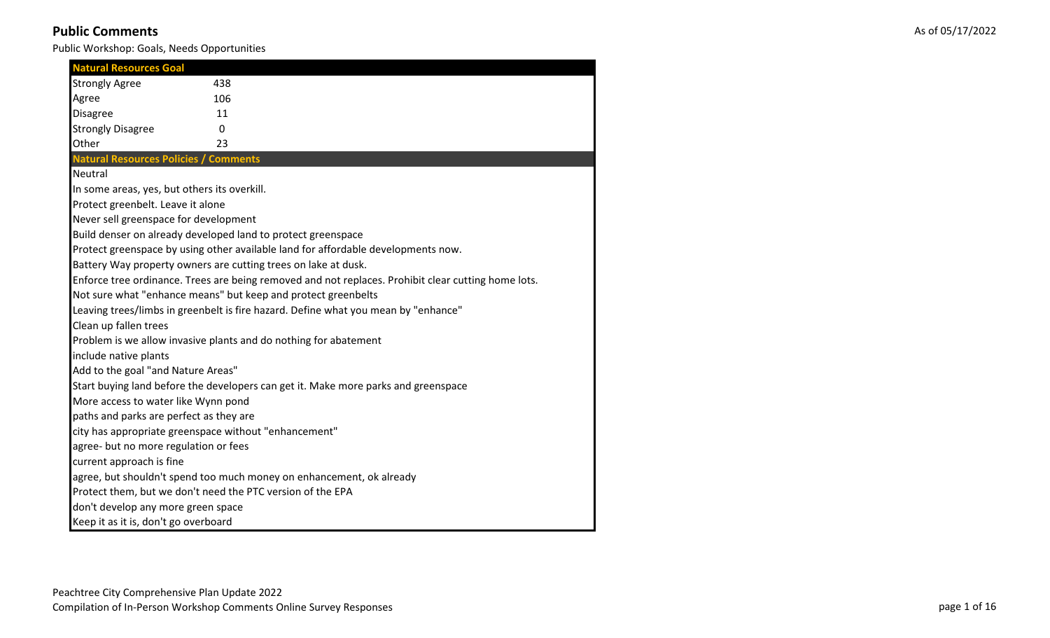| <b>Natural Resources Goal</b>                         |                                                                                                     |
|-------------------------------------------------------|-----------------------------------------------------------------------------------------------------|
| <b>Strongly Agree</b>                                 | 438                                                                                                 |
| Agree                                                 | 106                                                                                                 |
| <b>Disagree</b>                                       | 11                                                                                                  |
| <b>Strongly Disagree</b>                              | 0                                                                                                   |
| Other                                                 | 23                                                                                                  |
| <b>Natural Resources Policies / Comments</b>          |                                                                                                     |
| Neutral                                               |                                                                                                     |
| In some areas, yes, but others its overkill.          |                                                                                                     |
| Protect greenbelt. Leave it alone                     |                                                                                                     |
| Never sell greenspace for development                 |                                                                                                     |
|                                                       | Build denser on already developed land to protect greenspace                                        |
|                                                       | Protect greenspace by using other available land for affordable developments now.                   |
|                                                       | Battery Way property owners are cutting trees on lake at dusk.                                      |
|                                                       | Enforce tree ordinance. Trees are being removed and not replaces. Prohibit clear cutting home lots. |
|                                                       | Not sure what "enhance means" but keep and protect greenbelts                                       |
|                                                       | Leaving trees/limbs in greenbelt is fire hazard. Define what you mean by "enhance"                  |
| Clean up fallen trees                                 |                                                                                                     |
|                                                       | Problem is we allow invasive plants and do nothing for abatement                                    |
| include native plants                                 |                                                                                                     |
| Add to the goal "and Nature Areas"                    |                                                                                                     |
|                                                       | Start buying land before the developers can get it. Make more parks and greenspace                  |
| More access to water like Wynn pond                   |                                                                                                     |
| paths and parks are perfect as they are               |                                                                                                     |
| city has appropriate greenspace without "enhancement" |                                                                                                     |
| agree- but no more regulation or fees                 |                                                                                                     |
| current approach is fine                              |                                                                                                     |
|                                                       | agree, but shouldn't spend too much money on enhancement, ok already                                |
|                                                       | Protect them, but we don't need the PTC version of the EPA                                          |
| don't develop any more green space                    |                                                                                                     |
| Keep it as it is, don't go overboard                  |                                                                                                     |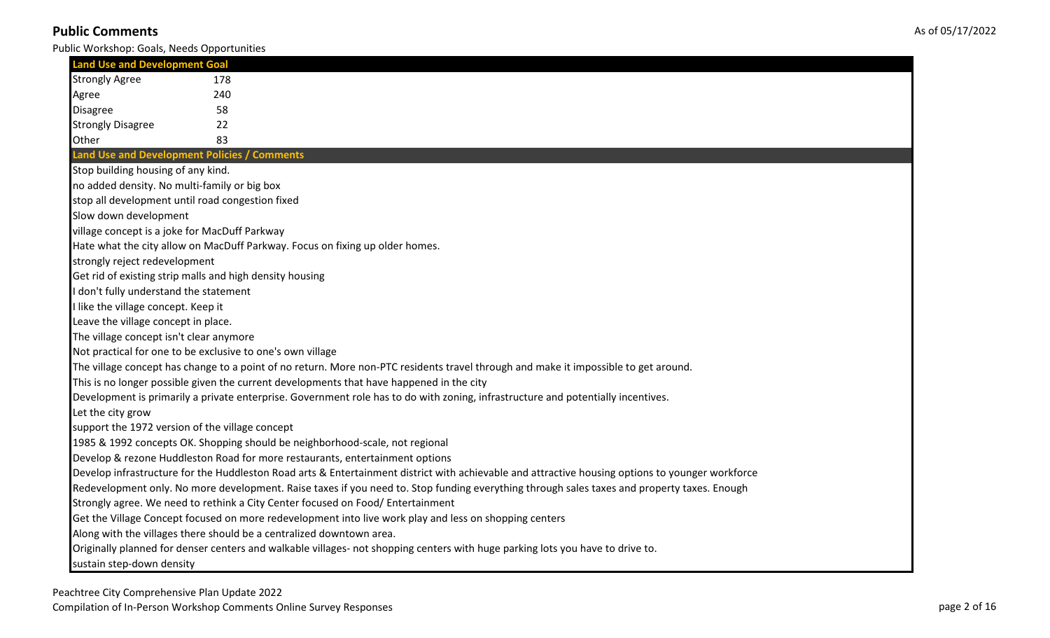Public Workshop: Goals, Needs Opportunities

| <b>Land Use and Development Goal</b>             |                                                                                                                                                  |
|--------------------------------------------------|--------------------------------------------------------------------------------------------------------------------------------------------------|
| <b>Strongly Agree</b>                            | 178                                                                                                                                              |
| Agree                                            | 240                                                                                                                                              |
| <b>Disagree</b>                                  | 58                                                                                                                                               |
| <b>Strongly Disagree</b>                         | 22                                                                                                                                               |
| Other                                            | 83                                                                                                                                               |
| Land Use and Development Policies / Comments     |                                                                                                                                                  |
| Stop building housing of any kind.               |                                                                                                                                                  |
| no added density. No multi-family or big box     |                                                                                                                                                  |
| stop all development until road congestion fixed |                                                                                                                                                  |
| Slow down development                            |                                                                                                                                                  |
| village concept is a joke for MacDuff Parkway    |                                                                                                                                                  |
|                                                  | Hate what the city allow on MacDuff Parkway. Focus on fixing up older homes.                                                                     |
| strongly reject redevelopment                    |                                                                                                                                                  |
|                                                  | Get rid of existing strip malls and high density housing                                                                                         |
| I don't fully understand the statement           |                                                                                                                                                  |
| I like the village concept. Keep it              |                                                                                                                                                  |
| Leave the village concept in place.              |                                                                                                                                                  |
| The village concept isn't clear anymore          |                                                                                                                                                  |
|                                                  | Not practical for one to be exclusive to one's own village                                                                                       |
|                                                  | The village concept has change to a point of no return. More non-PTC residents travel through and make it impossible to get around.              |
|                                                  | This is no longer possible given the current developments that have happened in the city                                                         |
|                                                  | Development is primarily a private enterprise. Government role has to do with zoning, infrastructure and potentially incentives.                 |
| Let the city grow                                |                                                                                                                                                  |
| support the 1972 version of the village concept  |                                                                                                                                                  |
|                                                  | 1985 & 1992 concepts OK. Shopping should be neighborhood-scale, not regional                                                                     |
|                                                  | Develop & rezone Huddleston Road for more restaurants, entertainment options                                                                     |
|                                                  | Develop infrastructure for the Huddleston Road arts & Entertainment district with achievable and attractive housing options to younger workforce |
|                                                  | Redevelopment only. No more development. Raise taxes if you need to. Stop funding everything through sales taxes and property taxes. Enough      |
|                                                  | Strongly agree. We need to rethink a City Center focused on Food/ Entertainment                                                                  |
|                                                  | Get the Village Concept focused on more redevelopment into live work play and less on shopping centers                                           |
|                                                  | Along with the villages there should be a centralized downtown area.                                                                             |
|                                                  | Originally planned for denser centers and walkable villages- not shopping centers with huge parking lots you have to drive to.                   |
| sustain step-down density                        |                                                                                                                                                  |

Peachtree City Comprehensive Plan Update 2022

Compilation of In-Person Workshop Comments Online Survey Responses page 2 of 16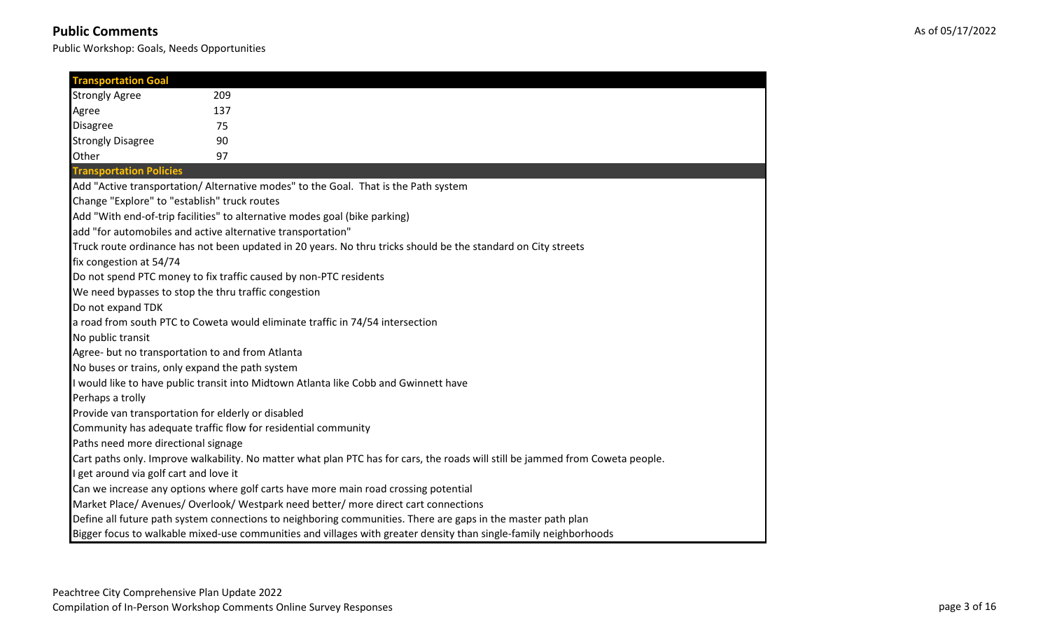| <b>Transportation Goal</b>                      |                                                                                                                                |  |
|-------------------------------------------------|--------------------------------------------------------------------------------------------------------------------------------|--|
| <b>Strongly Agree</b>                           | 209                                                                                                                            |  |
| Agree                                           | 137                                                                                                                            |  |
| <b>Disagree</b>                                 | 75                                                                                                                             |  |
| <b>Strongly Disagree</b>                        | 90                                                                                                                             |  |
| Other                                           | 97                                                                                                                             |  |
| <b>Transportation Policies</b>                  |                                                                                                                                |  |
|                                                 | Add "Active transportation/ Alternative modes" to the Goal. That is the Path system                                            |  |
| Change "Explore" to "establish" truck routes    |                                                                                                                                |  |
|                                                 | Add "With end-of-trip facilities" to alternative modes goal (bike parking)                                                     |  |
|                                                 | add "for automobiles and active alternative transportation"                                                                    |  |
|                                                 | Truck route ordinance has not been updated in 20 years. No thru tricks should be the standard on City streets                  |  |
| fix congestion at 54/74                         |                                                                                                                                |  |
|                                                 | Do not spend PTC money to fix traffic caused by non-PTC residents                                                              |  |
|                                                 | We need bypasses to stop the thru traffic congestion                                                                           |  |
| Do not expand TDK                               |                                                                                                                                |  |
|                                                 | a road from south PTC to Coweta would eliminate traffic in 74/54 intersection                                                  |  |
| No public transit                               |                                                                                                                                |  |
|                                                 | Agree- but no transportation to and from Atlanta                                                                               |  |
| No buses or trains, only expand the path system |                                                                                                                                |  |
|                                                 | I would like to have public transit into Midtown Atlanta like Cobb and Gwinnett have                                           |  |
| Perhaps a trolly                                |                                                                                                                                |  |
|                                                 | Provide van transportation for elderly or disabled                                                                             |  |
|                                                 | Community has adequate traffic flow for residential community                                                                  |  |
| Paths need more directional signage             |                                                                                                                                |  |
|                                                 | Cart paths only. Improve walkability. No matter what plan PTC has for cars, the roads will still be jammed from Coweta people. |  |
| I get around via golf cart and love it          |                                                                                                                                |  |
|                                                 | Can we increase any options where golf carts have more main road crossing potential                                            |  |
|                                                 | Market Place/ Avenues/ Overlook/ Westpark need better/ more direct cart connections                                            |  |
|                                                 | Define all future path system connections to neighboring communities. There are gaps in the master path plan                   |  |
|                                                 | Bigger focus to walkable mixed-use communities and villages with greater density than single-family neighborhoods              |  |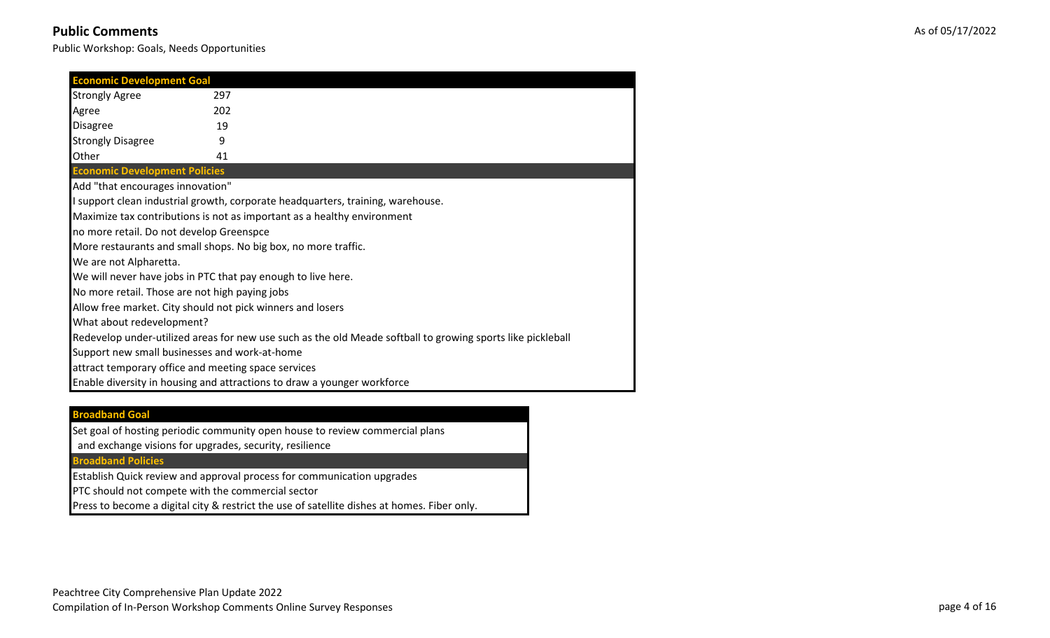Public Workshop: Goals, Needs Opportunities

| <b>Economic Development Goal</b>                             |     |                                                                                                             |
|--------------------------------------------------------------|-----|-------------------------------------------------------------------------------------------------------------|
| <b>Strongly Agree</b>                                        | 297 |                                                                                                             |
|                                                              | 202 |                                                                                                             |
| Agree                                                        |     |                                                                                                             |
| <b>Disagree</b>                                              | 19  |                                                                                                             |
| <b>Strongly Disagree</b>                                     | 9   |                                                                                                             |
| Other                                                        | 41  |                                                                                                             |
| <b>Economic Development Policies</b>                         |     |                                                                                                             |
| Add "that encourages innovation"                             |     |                                                                                                             |
|                                                              |     | I support clean industrial growth, corporate headquarters, training, warehouse.                             |
|                                                              |     | Maximize tax contributions is not as important as a healthy environment                                     |
| no more retail. Do not develop Greenspce                     |     |                                                                                                             |
|                                                              |     | More restaurants and small shops. No big box, no more traffic.                                              |
| We are not Alpharetta.                                       |     |                                                                                                             |
| We will never have jobs in PTC that pay enough to live here. |     |                                                                                                             |
| No more retail. Those are not high paying jobs               |     |                                                                                                             |
| Allow free market. City should not pick winners and losers   |     |                                                                                                             |
| What about redevelopment?                                    |     |                                                                                                             |
|                                                              |     | Redevelop under-utilized areas for new use such as the old Meade softball to growing sports like pickleball |
| Support new small businesses and work-at-home                |     |                                                                                                             |
| attract temporary office and meeting space services          |     |                                                                                                             |
|                                                              |     | Enable diversity in housing and attractions to draw a younger workforce                                     |

#### **Broadband Goal**

Set goal of hosting periodic community open house to review commercial plans

and exchange visions for upgrades, security, resilience

#### **Broadband Policies**

Establish Quick review and approval process for communication upgrades

PTC should not compete with the commercial sector

Press to become a digital city & restrict the use of satellite dishes at homes. Fiber only.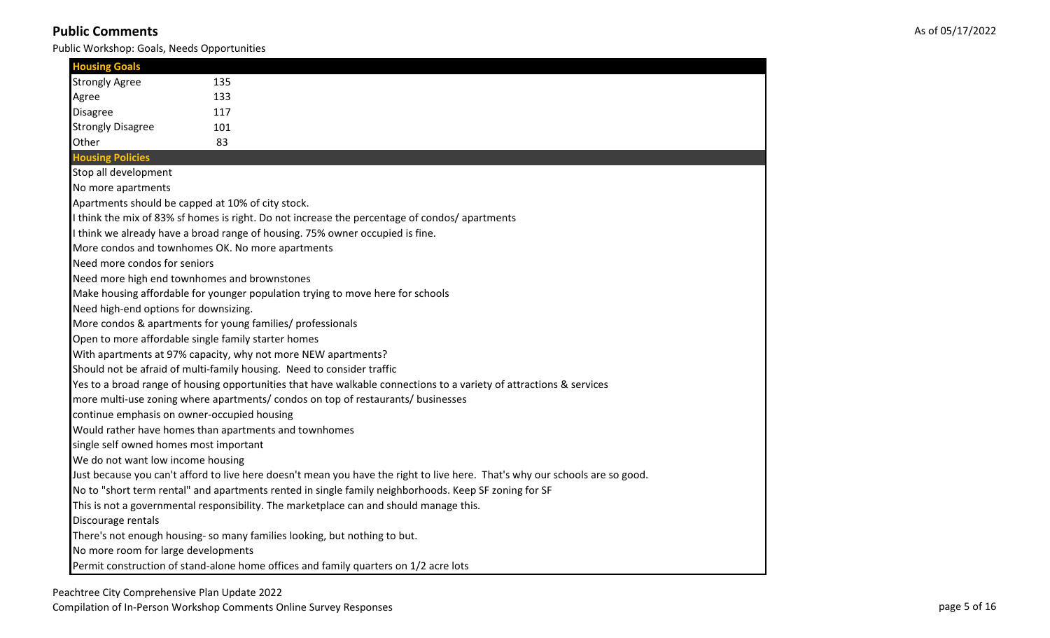| <b>Housing Goals</b>                        |                                                                                                                              |
|---------------------------------------------|------------------------------------------------------------------------------------------------------------------------------|
| <b>Strongly Agree</b>                       | 135                                                                                                                          |
| Agree                                       | 133                                                                                                                          |
| <b>Disagree</b>                             | 117                                                                                                                          |
| <b>Strongly Disagree</b>                    | 101                                                                                                                          |
| Other                                       | 83                                                                                                                           |
| <b>Housing Policies</b>                     |                                                                                                                              |
| Stop all development                        |                                                                                                                              |
| No more apartments                          |                                                                                                                              |
|                                             | Apartments should be capped at 10% of city stock.                                                                            |
|                                             | I think the mix of 83% sf homes is right. Do not increase the percentage of condos/ apartments                               |
|                                             | I think we already have a broad range of housing. 75% owner occupied is fine.                                                |
|                                             | More condos and townhomes OK. No more apartments                                                                             |
| Need more condos for seniors                |                                                                                                                              |
|                                             | Need more high end townhomes and brownstones                                                                                 |
|                                             | Make housing affordable for younger population trying to move here for schools                                               |
| Need high-end options for downsizing.       |                                                                                                                              |
|                                             | More condos & apartments for young families/ professionals                                                                   |
|                                             | Open to more affordable single family starter homes                                                                          |
|                                             | With apartments at 97% capacity, why not more NEW apartments?                                                                |
|                                             | Should not be afraid of multi-family housing. Need to consider traffic                                                       |
|                                             | Yes to a broad range of housing opportunities that have walkable connections to a variety of attractions & services          |
|                                             | more multi-use zoning where apartments/ condos on top of restaurants/ businesses                                             |
| continue emphasis on owner-occupied housing |                                                                                                                              |
|                                             | Would rather have homes than apartments and townhomes                                                                        |
| single self owned homes most important      |                                                                                                                              |
| We do not want low income housing           |                                                                                                                              |
|                                             | Just because you can't afford to live here doesn't mean you have the right to live here. That's why our schools are so good. |
|                                             | No to "short term rental" and apartments rented in single family neighborhoods. Keep SF zoning for SF                        |
|                                             | This is not a governmental responsibility. The marketplace can and should manage this.                                       |
| Discourage rentals                          |                                                                                                                              |
|                                             | There's not enough housing-so many families looking, but nothing to but.                                                     |
| No more room for large developments         |                                                                                                                              |
|                                             | Permit construction of stand-alone home offices and family quarters on 1/2 acre lots                                         |

Peachtree City Comprehensive Plan Update 2022

Compilation of In-Person Workshop Comments Online Survey Responses page 5 of 16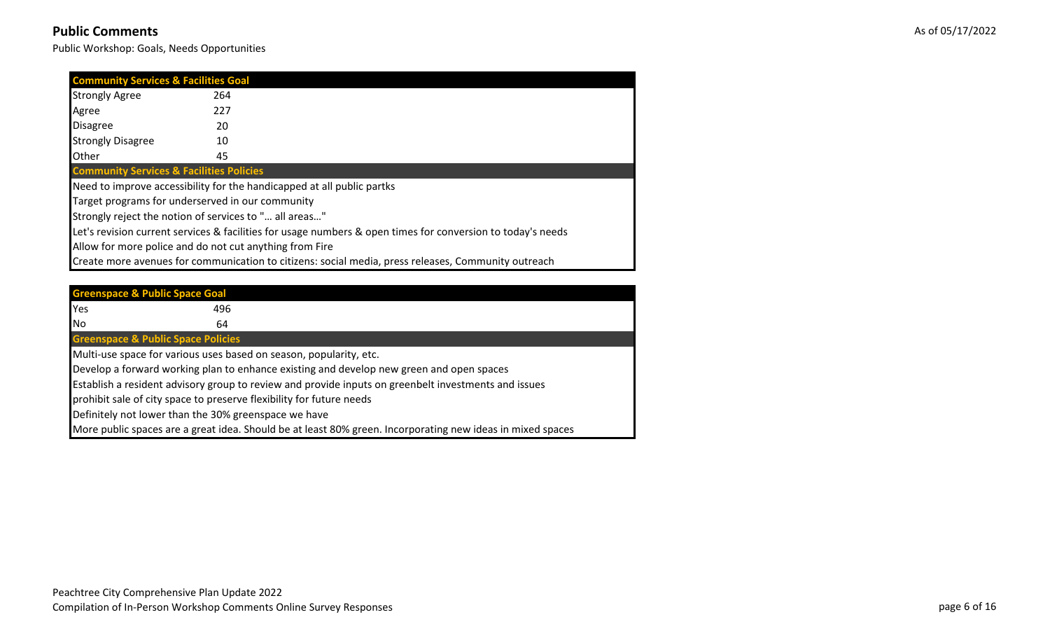| <b>Community Services &amp; Facilities Goal</b>     |                                                                        |                                                                                                             |
|-----------------------------------------------------|------------------------------------------------------------------------|-------------------------------------------------------------------------------------------------------------|
| <b>Strongly Agree</b>                               | 264                                                                    |                                                                                                             |
| Agree                                               | 227                                                                    |                                                                                                             |
| <b>Disagree</b>                                     | 20                                                                     |                                                                                                             |
| <b>Strongly Disagree</b>                            | 10                                                                     |                                                                                                             |
| <b>Other</b>                                        | 45                                                                     |                                                                                                             |
| <b>Community Services &amp; Facilities Policies</b> |                                                                        |                                                                                                             |
|                                                     | Need to improve accessibility for the handicapped at all public partks |                                                                                                             |
|                                                     | Target programs for underserved in our community                       |                                                                                                             |
|                                                     | Strongly reject the notion of services to " all areas"                 |                                                                                                             |
|                                                     |                                                                        | Let's revision current services & facilities for usage numbers & open times for conversion to today's needs |
|                                                     | Allow for more police and do not cut anything from Fire                |                                                                                                             |
|                                                     |                                                                        | Create more avenues for communication to citizens: social media, press releases, Community outreach         |

|     | <b>Greenspace &amp; Public Space Goal</b>                            |                                                                                                            |
|-----|----------------------------------------------------------------------|------------------------------------------------------------------------------------------------------------|
| Yes | 496                                                                  |                                                                                                            |
| No  | 64                                                                   |                                                                                                            |
|     | <b>Greenspace &amp; Public Space Policies</b>                        |                                                                                                            |
|     | Multi-use space for various uses based on season, popularity, etc.   |                                                                                                            |
|     |                                                                      | Develop a forward working plan to enhance existing and develop new green and open spaces                   |
|     |                                                                      | Establish a resident advisory group to review and provide inputs on greenbelt investments and issues       |
|     | prohibit sale of city space to preserve flexibility for future needs |                                                                                                            |
|     | Definitely not lower than the 30% greenspace we have                 |                                                                                                            |
|     |                                                                      | More public spaces are a great idea. Should be at least 80% green. Incorporating new ideas in mixed spaces |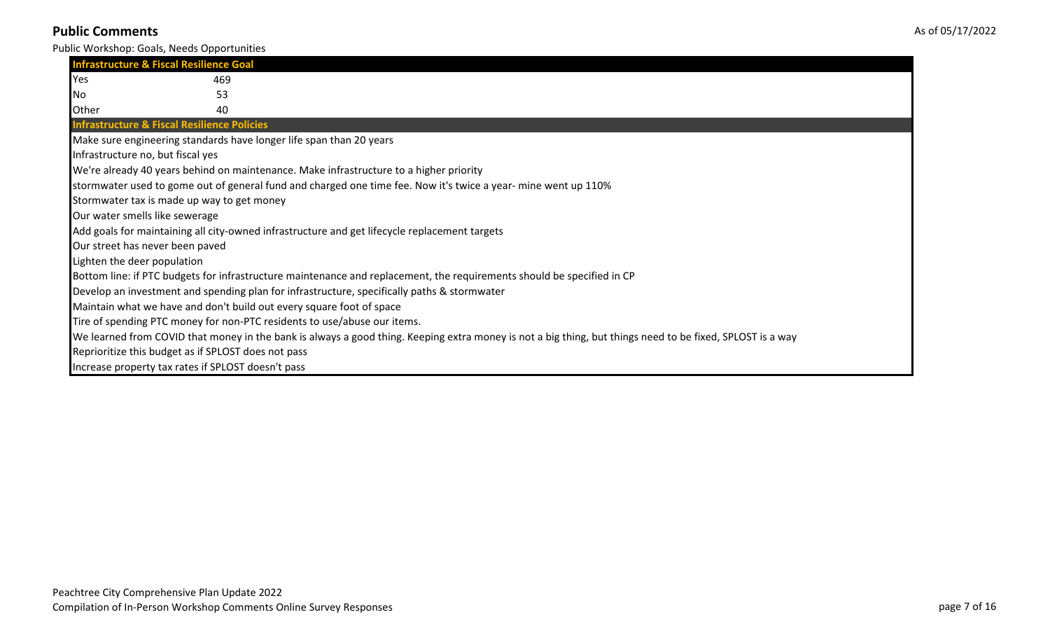| <b>Infrastructure &amp; Fiscal Resilience Goal</b>     |                                                                                                                                                           |
|--------------------------------------------------------|-----------------------------------------------------------------------------------------------------------------------------------------------------------|
| Yes                                                    | 469                                                                                                                                                       |
| INo.                                                   | 53                                                                                                                                                        |
| Other                                                  | 40                                                                                                                                                        |
| <b>Infrastructure &amp; Fiscal Resilience Policies</b> |                                                                                                                                                           |
|                                                        | Make sure engineering standards have longer life span than 20 years                                                                                       |
| Infrastructure no, but fiscal yes                      |                                                                                                                                                           |
|                                                        | We're already 40 years behind on maintenance. Make infrastructure to a higher priority                                                                    |
|                                                        | stormwater used to gome out of general fund and charged one time fee. Now it's twice a year- mine went up 110%                                            |
| Stormwater tax is made up way to get money             |                                                                                                                                                           |
| Our water smells like sewerage                         |                                                                                                                                                           |
|                                                        | Add goals for maintaining all city-owned infrastructure and get lifecycle replacement targets                                                             |
| Our street has never been paved                        |                                                                                                                                                           |
| Lighten the deer population                            |                                                                                                                                                           |
|                                                        | Bottom line: if PTC budgets for infrastructure maintenance and replacement, the requirements should be specified in CP                                    |
|                                                        | Develop an investment and spending plan for infrastructure, specifically paths & stormwater                                                               |
|                                                        | Maintain what we have and don't build out every square foot of space                                                                                      |
|                                                        | Tire of spending PTC money for non-PTC residents to use/abuse our items.                                                                                  |
|                                                        | We learned from COVID that money in the bank is always a good thing. Keeping extra money is not a big thing, but things need to be fixed, SPLOST is a way |
| Reprioritize this budget as if SPLOST does not pass    |                                                                                                                                                           |
| Increase property tax rates if SPLOST doesn't pass     |                                                                                                                                                           |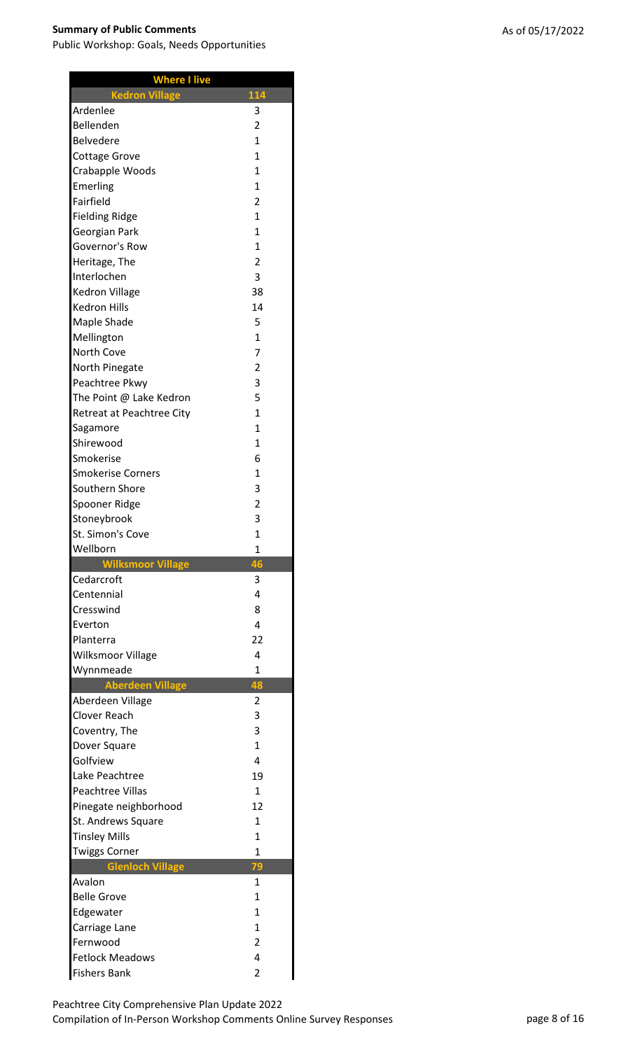| <b>Where I live</b>                           |                     |
|-----------------------------------------------|---------------------|
| <b>Kedron Village</b>                         | 114                 |
| Ardenlee                                      | 3                   |
| Bellenden                                     | $\overline{2}$      |
| <b>Belvedere</b>                              | 1                   |
| Cottage Grove                                 | 1                   |
| Crabapple Woods                               | 1                   |
| Emerling                                      | 1                   |
| Fairfield                                     | $\overline{2}$      |
| <b>Fielding Ridge</b>                         | $\overline{1}$      |
| Georgian Park                                 | 1                   |
| Governor's Row                                | 1                   |
| Heritage, The                                 | $\overline{2}$      |
| Interlochen                                   | 3                   |
| Kedron Village                                | 38                  |
| <b>Kedron Hills</b>                           | 14                  |
| Maple Shade                                   | 5                   |
| Mellington                                    | $\overline{1}$      |
| <b>North Cove</b>                             | $\overline{7}$      |
| North Pinegate                                | $\overline{2}$      |
| Peachtree Pkwy                                | 3                   |
| The Point @ Lake Kedron                       | 5                   |
| Retreat at Peachtree City                     | $\overline{1}$      |
| Sagamore                                      | $\overline{1}$      |
| Shirewood                                     | $\overline{1}$      |
| Smokerise                                     | 6                   |
| <b>Smokerise Corners</b>                      | $\mathbf{1}$        |
| Southern Shore                                | 3                   |
| Spooner Ridge                                 | $\overline{2}$      |
| Stoneybrook                                   | 3                   |
|                                               |                     |
| St. Simon's Cove                              | $\overline{1}$      |
| Wellborn                                      | 1                   |
| Wilksmoor Village                             | 46                  |
| Cedarcroft                                    | 3                   |
| Centennial                                    | 4                   |
| Cresswind                                     | 8                   |
| Everton                                       | 4                   |
| Planterra                                     | 22                  |
| Wilksmoor Village                             | 4                   |
| Wynnmeade                                     | $\mathbf{1}$        |
| <b>Aberdeen Village</b>                       | 48                  |
| Aberdeen Village                              | 2                   |
| <b>Clover Reach</b>                           | 3                   |
| Coventry, The                                 | 3                   |
| Dover Square                                  | 1                   |
| Golfview                                      | 4                   |
| Lake Peachtree                                | 19                  |
| <b>Peachtree Villas</b>                       | $\mathbf{1}$        |
| Pinegate neighborhood                         | 12                  |
| St. Andrews Square                            | $\overline{1}$      |
| <b>Tinsley Mills</b>                          | $\overline{1}$      |
| <b>Twiggs Corner</b>                          | $\mathbf{1}$        |
| Glenloch Village                              | 79                  |
| Avalon                                        | $\mathbf{1}$        |
| <b>Belle Grove</b>                            | $\mathbf{1}$        |
| Edgewater                                     | $\mathbf{1}$        |
| Carriage Lane                                 | $\mathbf{1}$        |
| Fernwood                                      | $\overline{2}$      |
| <b>Fetlock Meadows</b><br><b>Fishers Bank</b> | 4<br>$\overline{2}$ |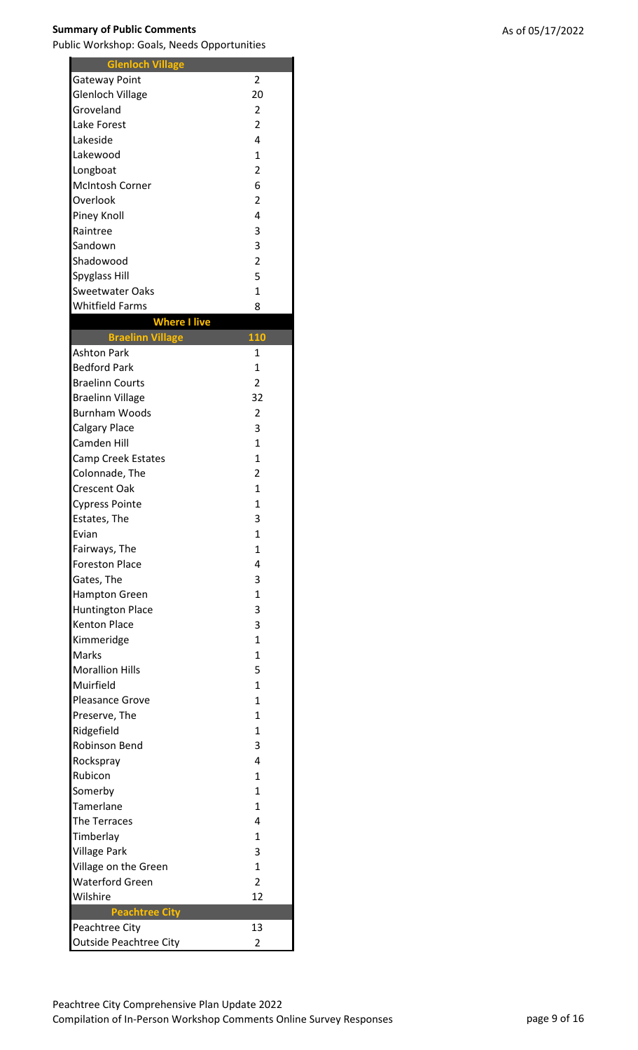$\blacksquare$ 

| <b>Glenloch Village</b>       |                |
|-------------------------------|----------------|
| <b>Gateway Point</b>          | 2              |
| <b>Glenloch Village</b>       | 20             |
| Groveland                     | $\overline{2}$ |
| Lake Forest                   | $\overline{2}$ |
| Lakeside                      | 4              |
| Lakewood                      | 1              |
| Longboat                      | $\overline{2}$ |
| <b>McIntosh Corner</b>        | 6              |
| Overlook                      | $\overline{2}$ |
| Piney Knoll                   | 4              |
| Raintree                      | 3              |
| Sandown                       | 3              |
| Shadowood                     | $\overline{2}$ |
| <b>Spyglass Hill</b>          | 5              |
| <b>Sweetwater Oaks</b>        | $\overline{1}$ |
| <b>Whitfield Farms</b>        | 8              |
| <b>Where I live</b>           |                |
| <b>Braelinn Village</b>       | 110            |
| <b>Ashton Park</b>            | $\mathbf{1}$   |
| <b>Bedford Park</b>           | 1              |
| <b>Braelinn Courts</b>        | $\overline{2}$ |
| <b>Braelinn Village</b>       | 32             |
| <b>Burnham Woods</b>          | 2              |
| Calgary Place                 | 3              |
| Camden Hill                   | 1              |
|                               | $\mathbf{1}$   |
| <b>Camp Creek Estates</b>     |                |
| Colonnade, The                | $\overline{2}$ |
| <b>Crescent Oak</b>           | 1              |
| <b>Cypress Pointe</b>         | 1              |
| Estates, The                  | 3              |
| Evian                         | 1              |
| Fairways, The                 | $\mathbf{1}$   |
| <b>Foreston Place</b>         | 4              |
| Gates, The                    | 3              |
| <b>Hampton Green</b>          | 1              |
| <b>Huntington Place</b>       | 3              |
| <b>Kenton Place</b>           | 3              |
| Kimmeridge                    | 1              |
| Marks                         | 1              |
| <b>Morallion Hills</b>        | 5              |
| Muirfield                     | $\mathbf{1}$   |
| <b>Pleasance Grove</b>        | 1              |
| Preserve, The                 | $\mathbf{1}$   |
| Ridgefield                    | $\mathbf{1}$   |
| <b>Robinson Bend</b>          | 3              |
| Rockspray                     | 4              |
| Rubicon                       | $\mathbf{1}$   |
| Somerby                       | 1              |
| Tamerlane                     | 1              |
| The Terraces                  | 4              |
| Timberlay                     | $\mathbf{1}$   |
| <b>Village Park</b>           | 3              |
| Village on the Green          | $\mathbf{1}$   |
| <b>Waterford Green</b>        | $\overline{2}$ |
| Wilshire                      | 12             |
| <b>Peachtree City</b>         |                |
| Peachtree City                | 13             |
| <b>Outside Peachtree City</b> | $\overline{c}$ |
|                               |                |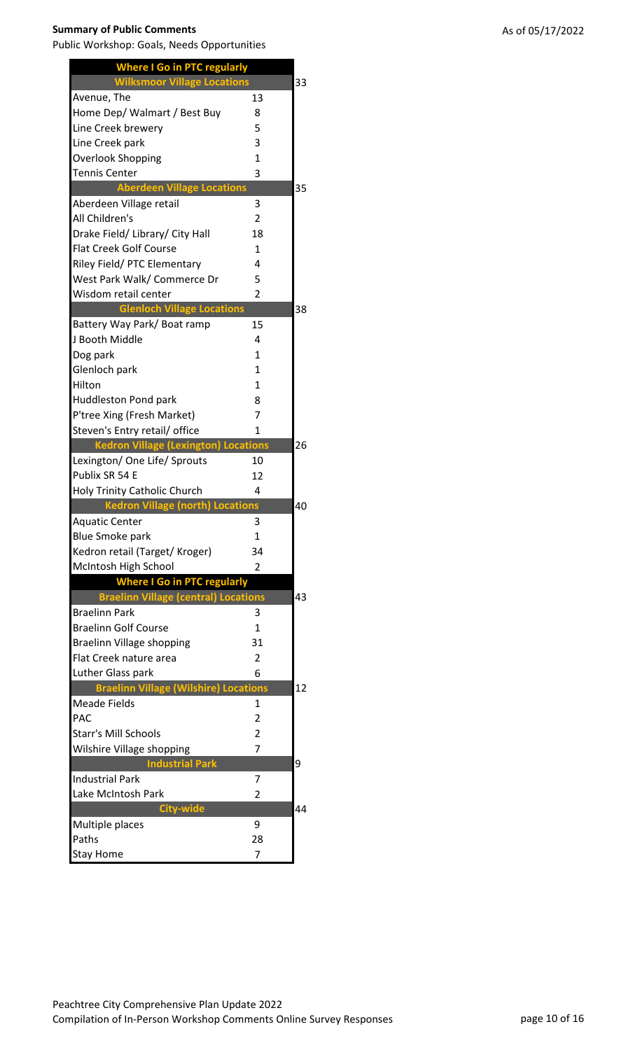| <b>Where I Go in PTC regularly</b>          |                  |    |
|---------------------------------------------|------------------|----|
| <b>Wilksmoor Village Locations</b>          |                  | 33 |
| Avenue, The                                 | 13               |    |
| Home Dep/ Walmart / Best Buy                | 8                |    |
| Line Creek brewery                          | 5                |    |
| Line Creek park                             | 3                |    |
| <b>Overlook Shopping</b>                    | 1                |    |
| Tennis Center                               | 3                |    |
| <b>Aberdeen Village Locations</b>           |                  | 35 |
| Aberdeen Village retail                     | 3                |    |
| All Children's                              | 2                |    |
| Drake Field/ Library/ City Hall             | 18               |    |
| <b>Flat Creek Golf Course</b>               | 1                |    |
| Riley Field/ PTC Elementary                 | 4                |    |
| West Park Walk/ Commerce Dr                 | 5                |    |
| Wisdom retail center                        | $\overline{2}$   |    |
| <b>Glenloch Village Locations</b>           |                  | 38 |
| Battery Way Park/Boat ramp                  | 15               |    |
| J Booth Middle                              | 4                |    |
| Dog park                                    | 1                |    |
| Glenloch park                               | $\mathbf{1}$     |    |
| Hilton                                      | $\mathbf{1}$     |    |
| <b>Huddleston Pond park</b>                 | 8                |    |
| P'tree Xing (Fresh Market)                  | $\overline{7}$   |    |
| Steven's Entry retail/ office               | 1                |    |
| <b>Kedron Village (Lexington) Locations</b> |                  | 26 |
| Lexington/ One Life/ Sprouts                | 10               |    |
| Publix SR 54 E                              | 12               |    |
| Holy Trinity Catholic Church                | 4                |    |
| <b>Kedron Village (north) Locations</b>     |                  | 40 |
| Aquatic Center                              | 3                |    |
| <b>Blue Smoke park</b>                      | $\mathbf{1}$     |    |
| Kedron retail (Target/ Kroger)              | 34               |    |
| McIntosh High School                        | 2                |    |
| <b>Where I Go in PTC regularly</b>          |                  |    |
| <b>Braelinn Village (central) Locations</b> |                  | 43 |
| <b>Braelinn Park</b>                        | 3                |    |
| <b>Braelinn Golf Course</b>                 | $\mathbf{1}$     |    |
| Braelinn Village shopping                   | 31               |    |
| Flat Creek nature area                      | $\overline{2}$   |    |
| Luther Glass park                           | 6                |    |
| <b>Braelinn Village (Wilshire)</b>          | <b>Locations</b> | 12 |
| Meade Fields                                | $\mathbf{1}$     |    |
| <b>PAC</b>                                  | $\overline{2}$   |    |
| <b>Starr's Mill Schools</b>                 | $\overline{2}$   |    |
| Wilshire Village shopping                   | 7                |    |
| <b>Industrial Park</b>                      |                  | 9  |
| <b>Industrial Park</b>                      | 7                |    |
| Lake McIntosh Park                          | 2                |    |
| <b>City-wide</b>                            |                  | 44 |
| Multiple places                             | 9                |    |
| Paths                                       | 28               |    |
| <b>Stay Home</b>                            | 7                |    |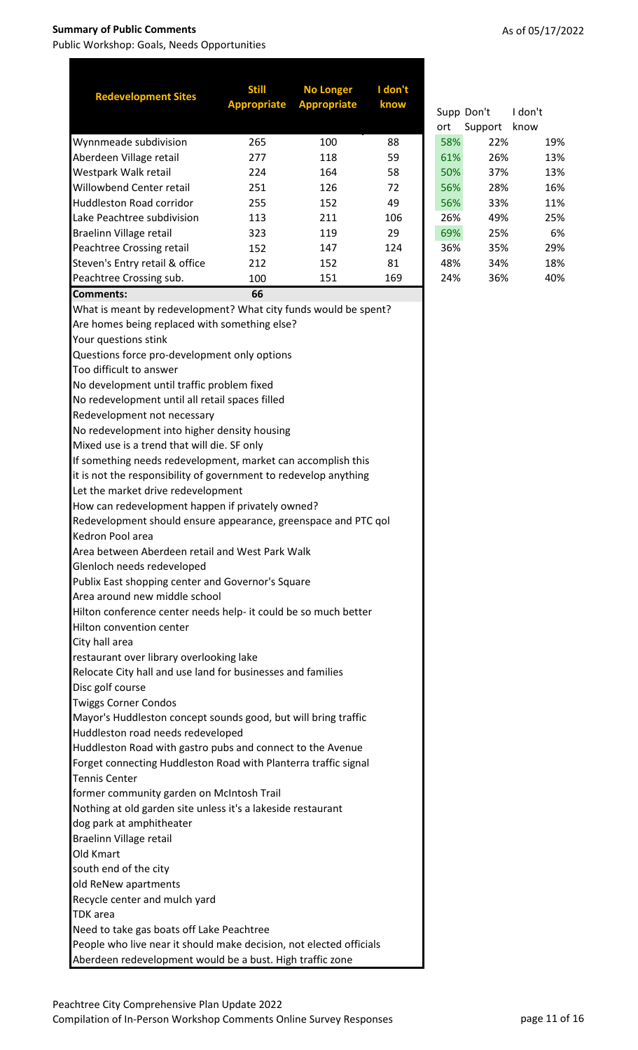| <b>Redevelopment Sites</b>                                          | <b>Still</b>       | <b>No Longer</b>   | I don't |     |            |         |
|---------------------------------------------------------------------|--------------------|--------------------|---------|-----|------------|---------|
|                                                                     | <b>Appropriate</b> | <b>Appropriate</b> | know    |     | Supp Don't | I don't |
|                                                                     |                    |                    |         | ort | Support    | know    |
| Wynnmeade subdivision                                               | 265                | 100                | 88      | 58% | 22%        | 19%     |
| Aberdeen Village retail                                             | 277                | 118                | 59      | 61% | 26%        | 13%     |
| Westpark Walk retail                                                | 224                | 164                | 58      | 50% | 37%        | 13%     |
| Willowbend Center retail                                            | 251                | 126                | 72      | 56% | 28%        | 16%     |
| <b>Huddleston Road corridor</b>                                     | 255                | 152                | 49      | 56% | 33%        | 11%     |
| Lake Peachtree subdivision                                          | 113                | 211                | 106     | 26% | 49%        | 25%     |
| Braelinn Village retail                                             | 323                | 119                | 29      | 69% | 25%        | 6%      |
| Peachtree Crossing retail                                           | 152                | 147                | 124     | 36% | 35%        | 29%     |
| Steven's Entry retail & office                                      | 212                | 152                | 81      | 48% | 34%        | 18%     |
| Peachtree Crossing sub.                                             | 100                | 151                | 169     | 24% | 36%        | 40%     |
| <b>Comments:</b>                                                    | 66                 |                    |         |     |            |         |
| What is meant by redevelopment? What city funds would be spent?     |                    |                    |         |     |            |         |
| Are homes being replaced with something else?                       |                    |                    |         |     |            |         |
| Your questions stink                                                |                    |                    |         |     |            |         |
| Questions force pro-development only options                        |                    |                    |         |     |            |         |
| Too difficult to answer                                             |                    |                    |         |     |            |         |
| No development until traffic problem fixed                          |                    |                    |         |     |            |         |
| No redevelopment until all retail spaces filled                     |                    |                    |         |     |            |         |
| Redevelopment not necessary                                         |                    |                    |         |     |            |         |
| No redevelopment into higher density housing                        |                    |                    |         |     |            |         |
| Mixed use is a trend that will die. SF only                         |                    |                    |         |     |            |         |
| If something needs redevelopment, market can accomplish this        |                    |                    |         |     |            |         |
| it is not the responsibility of government to redevelop anything    |                    |                    |         |     |            |         |
| Let the market drive redevelopment                                  |                    |                    |         |     |            |         |
| How can redevelopment happen if privately owned?                    |                    |                    |         |     |            |         |
| Redevelopment should ensure appearance, greenspace and PTC qol      |                    |                    |         |     |            |         |
| Kedron Pool area                                                    |                    |                    |         |     |            |         |
| Area between Aberdeen retail and West Park Walk                     |                    |                    |         |     |            |         |
| Glenloch needs redeveloped                                          |                    |                    |         |     |            |         |
| Publix East shopping center and Governor's Square                   |                    |                    |         |     |            |         |
| Area around new middle school                                       |                    |                    |         |     |            |         |
| Hilton conference center needs help- it could be so much better     |                    |                    |         |     |            |         |
| Hilton convention center                                            |                    |                    |         |     |            |         |
| City hall area                                                      |                    |                    |         |     |            |         |
| restaurant over library overlooking lake                            |                    |                    |         |     |            |         |
| Relocate City hall and use land for businesses and families         |                    |                    |         |     |            |         |
| Disc golf course                                                    |                    |                    |         |     |            |         |
| <b>Twiggs Corner Condos</b>                                         |                    |                    |         |     |            |         |
| Mayor's Huddleston concept sounds good, but will bring traffic      |                    |                    |         |     |            |         |
| Huddleston road needs redeveloped                                   |                    |                    |         |     |            |         |
| Huddleston Road with gastro pubs and connect to the Avenue          |                    |                    |         |     |            |         |
| Forget connecting Huddleston Road with Planterra traffic signal     |                    |                    |         |     |            |         |
| <b>Tennis Center</b>                                                |                    |                    |         |     |            |         |
| former community garden on McIntosh Trail                           |                    |                    |         |     |            |         |
| Nothing at old garden site unless it's a lakeside restaurant        |                    |                    |         |     |            |         |
| dog park at amphitheater                                            |                    |                    |         |     |            |         |
| Braelinn Village retail                                             |                    |                    |         |     |            |         |
| Old Kmart                                                           |                    |                    |         |     |            |         |
| south end of the city                                               |                    |                    |         |     |            |         |
| old ReNew apartments                                                |                    |                    |         |     |            |         |
| Recycle center and mulch yard                                       |                    |                    |         |     |            |         |
| <b>TDK</b> area                                                     |                    |                    |         |     |            |         |
| Need to take gas boats off Lake Peachtree                           |                    |                    |         |     |            |         |
| People who live near it should make decision, not elected officials |                    |                    |         |     |            |         |
| Aberdeen redevelopment would be a bust. High traffic zone           |                    |                    |         |     |            |         |

|  |  |  | As of 05/17/2022 |
|--|--|--|------------------|
|--|--|--|------------------|

|     | Supp Don't | I don't |     |
|-----|------------|---------|-----|
| ort | Support    | know    |     |
| 58% | 22%        |         | 19% |
| 61% | 26%        |         | 13% |
| 50% | 37%        |         | 13% |
| 56% | 28%        |         | 16% |
| 56% | 33%        |         | 11% |
| 26% | 49%        |         | 25% |
| 69% | 25%        |         | 6%  |
| 36% | 35%        |         | 29% |
| 48% | 34%        |         | 18% |
| 24% | 36%        |         | 40% |
|     |            |         |     |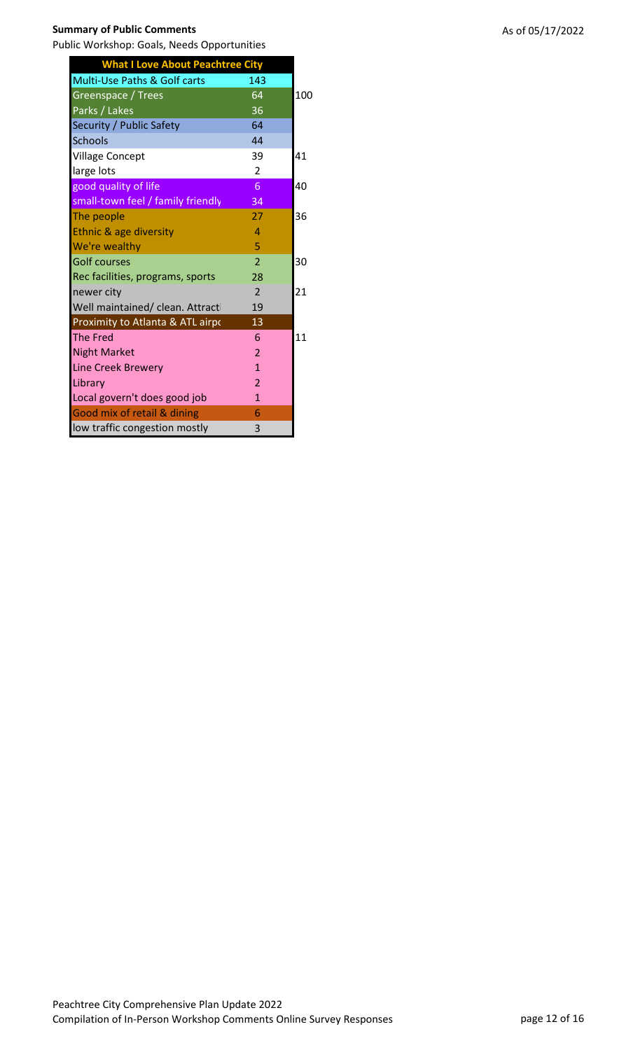| <b>What I Love About Peachtree City</b> |                |     |
|-----------------------------------------|----------------|-----|
| Multi-Use Paths & Golf carts            | 143            |     |
| Greenspace / Trees                      | 64             | 100 |
| Parks / Lakes                           | 36             |     |
| Security / Public Safety                | 64             |     |
| <b>Schools</b>                          | 44             |     |
| <b>Village Concept</b>                  | 39             | 41  |
| large lots                              | $\overline{2}$ |     |
| good quality of life                    | 6              | 40  |
| small-town feel / family friendly       | 34             |     |
| The people                              | 27             | 36  |
| Ethnic & age diversity                  | 4              |     |
| We're wealthy                           | 5              |     |
| <b>Golf courses</b>                     | $\overline{2}$ | 30  |
| Rec facilities, programs, sports        | 28             |     |
| newer city                              | $\overline{2}$ | 21  |
| Well maintained/ clean. Attracti        | 19             |     |
| Proximity to Atlanta & ATL airpo        | 13             |     |
| <b>The Fred</b>                         | 6              | 11  |
| <b>Night Market</b>                     | $\overline{2}$ |     |
| <b>Line Creek Brewery</b>               | $\mathbf{1}$   |     |
| Library                                 | $\overline{2}$ |     |
| Local govern't does good job            | $\mathbf{1}$   |     |
| <b>Good mix of retail &amp; dining</b>  | 6              |     |
| low traffic congestion mostly           | 3              |     |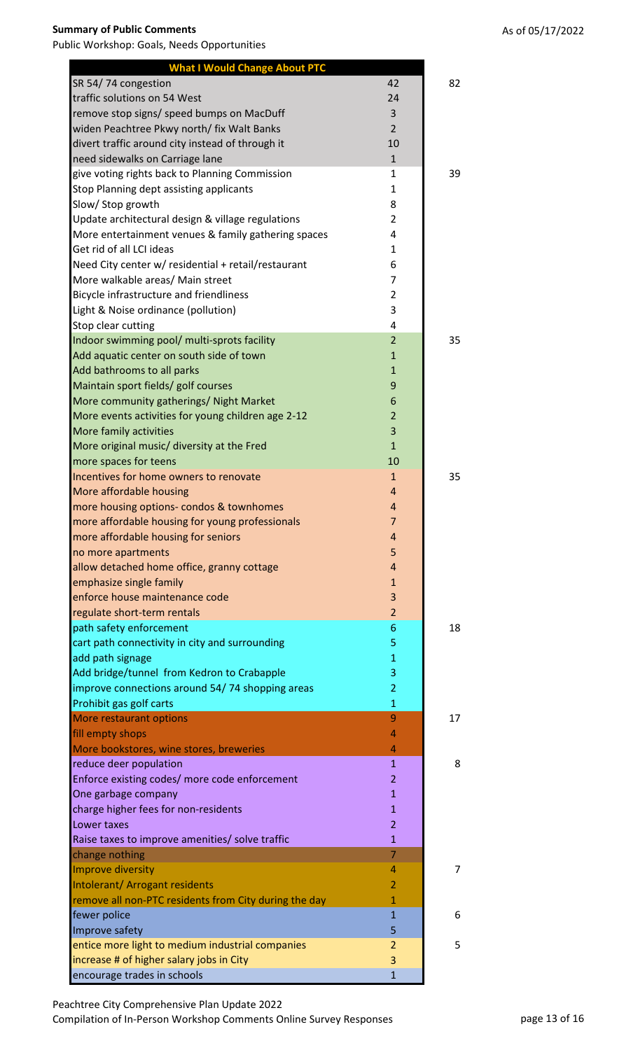**What I Would Change About PTC**

| traffic solutions on 54 West                          | 24             |                |
|-------------------------------------------------------|----------------|----------------|
| remove stop signs/ speed bumps on MacDuff             | 3              |                |
| widen Peachtree Pkwy north/ fix Walt Banks            | $\overline{2}$ |                |
| divert traffic around city instead of through it      | 10             |                |
| need sidewalks on Carriage lane                       | $\mathbf{1}$   |                |
| give voting rights back to Planning Commission        | 1              | 39             |
| Stop Planning dept assisting applicants               | 1              |                |
| Slow/ Stop growth                                     | 8              |                |
| Update architectural design & village regulations     | $\overline{2}$ |                |
| More entertainment venues & family gathering spaces   | 4              |                |
| Get rid of all LCI ideas                              | $\mathbf{1}$   |                |
| Need City center w/ residential + retail/restaurant   | 6              |                |
| More walkable areas/ Main street                      | $\overline{7}$ |                |
| Bicycle infrastructure and friendliness               | $\overline{2}$ |                |
| Light & Noise ordinance (pollution)                   | 3              |                |
| Stop clear cutting                                    | 4              |                |
| Indoor swimming pool/ multi-sprots facility           | $\overline{2}$ | 35             |
| Add aquatic center on south side of town              | $\mathbf{1}$   |                |
| Add bathrooms to all parks                            | $\mathbf{1}$   |                |
| Maintain sport fields/ golf courses                   | 9              |                |
| More community gatherings/ Night Market               | 6              |                |
| More events activities for young children age 2-12    | $\overline{2}$ |                |
| More family activities                                | 3              |                |
| More original music/ diversity at the Fred            | $\mathbf{1}$   |                |
| more spaces for teens                                 | 10             |                |
| Incentives for home owners to renovate                | $\mathbf{1}$   | 35             |
| More affordable housing                               | $\overline{4}$ |                |
| more housing options- condos & townhomes              | 4              |                |
| more affordable housing for young professionals       | $\overline{7}$ |                |
| more affordable housing for seniors                   | 4              |                |
| no more apartments                                    | 5              |                |
| allow detached home office, granny cottage            | 4              |                |
| emphasize single family                               | 1              |                |
| enforce house maintenance code                        | 3              |                |
| regulate short-term rentals                           | $\overline{2}$ |                |
| path safety enforcement                               | 6              | 18             |
| cart path connectivity in city and surrounding        | 5              |                |
| add path signage                                      | $\mathbf{1}$   |                |
| Add bridge/tunnel from Kedron to Crabapple            | 3              |                |
| improve connections around 54/74 shopping areas       | $\overline{2}$ |                |
| Prohibit gas golf carts                               | $\mathbf{1}$   |                |
| More restaurant options                               | 9              | 17             |
| fill empty shops                                      | 4              |                |
| More bookstores, wine stores, breweries               | 4              |                |
| reduce deer population                                | $\mathbf{1}$   | 8              |
| Enforce existing codes/ more code enforcement         | $\overline{2}$ |                |
| One garbage company                                   | $\mathbf{1}$   |                |
| charge higher fees for non-residents                  | $\mathbf{1}$   |                |
| Lower taxes                                           | $\overline{2}$ |                |
| Raise taxes to improve amenities/ solve traffic       | $\mathbf{1}$   |                |
| change nothing                                        | $\overline{7}$ |                |
| Improve diversity                                     | 4              | $\overline{7}$ |
| Intolerant/ Arrogant residents                        | $\overline{2}$ |                |
| remove all non-PTC residents from City during the day | 1              |                |
| fewer police                                          | $\overline{1}$ | 6              |
| Improve safety                                        | 5              |                |
| entice more light to medium industrial companies      | 2              | 5              |
| increase # of higher salary jobs in City              | 3              |                |
| encourage trades in schools                           | $\mathbf{1}$   |                |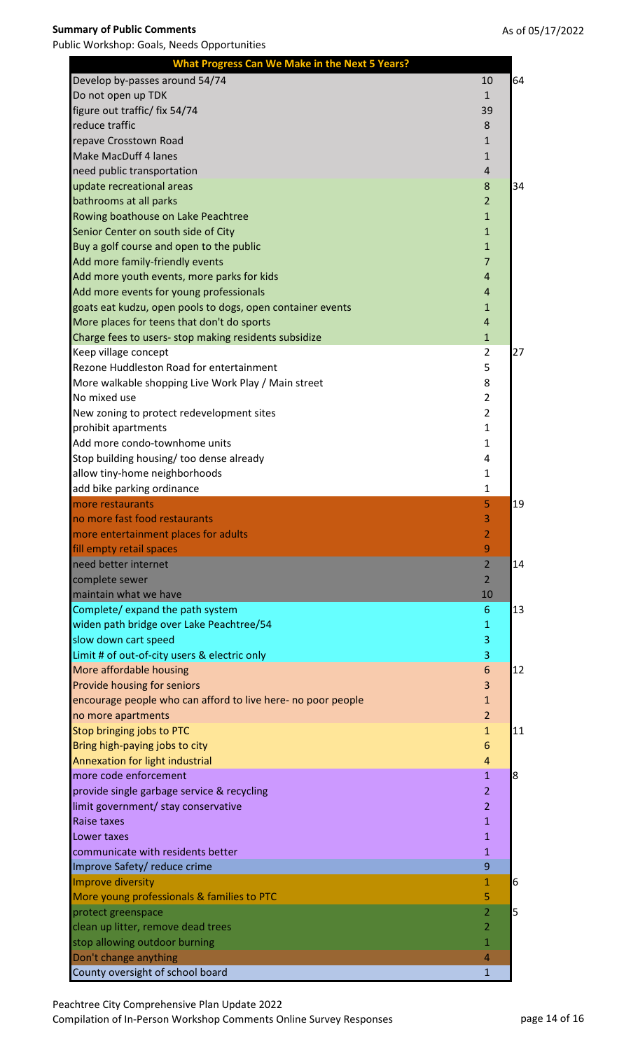| <b>What Progress Can We Make in the Next 5 Years?</b>        |                         |    |
|--------------------------------------------------------------|-------------------------|----|
| Develop by-passes around 54/74                               | 10                      | 64 |
| Do not open up TDK                                           | $\mathbf{1}$            |    |
| figure out traffic/ fix 54/74                                | 39                      |    |
| reduce traffic                                               | 8                       |    |
| repave Crosstown Road                                        | 1                       |    |
| <b>Make MacDuff 4 lanes</b>                                  | $\mathbf{1}$            |    |
| need public transportation                                   | $\overline{4}$          |    |
| update recreational areas                                    | 8                       | 34 |
| bathrooms at all parks                                       | $\overline{2}$          |    |
| Rowing boathouse on Lake Peachtree                           | $\mathbf{1}$            |    |
| Senior Center on south side of City                          | $\mathbf{1}$            |    |
| Buy a golf course and open to the public                     | $\mathbf{1}$            |    |
| Add more family-friendly events                              | $\overline{7}$          |    |
| Add more youth events, more parks for kids                   | $\overline{4}$          |    |
| Add more events for young professionals                      | $\overline{\mathbf{r}}$ |    |
| goats eat kudzu, open pools to dogs, open container events   | $\mathbf{1}$            |    |
| More places for teens that don't do sports                   | $\overline{4}$          |    |
| Charge fees to users- stop making residents subsidize        | $\mathbf{1}$            |    |
| Keep village concept                                         | 2                       | 27 |
| Rezone Huddleston Road for entertainment                     | 5                       |    |
| More walkable shopping Live Work Play / Main street          | 8                       |    |
| No mixed use                                                 | $\overline{2}$          |    |
| New zoning to protect redevelopment sites                    | $\overline{2}$          |    |
| prohibit apartments                                          | 1                       |    |
| Add more condo-townhome units                                | $\mathbf{1}$            |    |
| Stop building housing/ too dense already                     | 4                       |    |
| allow tiny-home neighborhoods                                | 1                       |    |
| add bike parking ordinance                                   | 1                       |    |
| more restaurants                                             | 5                       | 19 |
| no more fast food restaurants                                | 3                       |    |
| more entertainment places for adults                         | 2                       |    |
| fill empty retail spaces                                     | 9                       |    |
| need better internet                                         | $\overline{2}$          | 14 |
| complete sewer                                               | $\overline{2}$          |    |
| maintain what we have                                        | 10                      |    |
| Complete/ expand the path system                             | 6                       | 13 |
| widen path bridge over Lake Peachtree/54                     | 1                       |    |
| slow down cart speed                                         | 3                       |    |
| Limit # of out-of-city users & electric only                 | 3                       |    |
|                                                              | 6                       | 12 |
| More affordable housing                                      |                         |    |
| Provide housing for seniors                                  | 3                       |    |
| encourage people who can afford to live here- no poor people | $\mathbf{1}$            |    |
| no more apartments                                           | $\overline{2}$          |    |
| Stop bringing jobs to PTC                                    | $\mathbf{1}$            |    |
| Bring high-paying jobs to city                               | 6                       |    |
| Annexation for light industrial                              | 4                       |    |
| more code enforcement                                        | $\mathbf{1}$            | 8  |
| provide single garbage service & recycling                   | $\overline{2}$          |    |
| limit government/ stay conservative                          | $\overline{2}$          |    |
| <b>Raise taxes</b>                                           | $\mathbf{1}$            |    |
| Lower taxes                                                  | $\mathbf{1}$            |    |
| communicate with residents better                            | $\mathbf{1}$            |    |
| Improve Safety/ reduce crime                                 | 9                       |    |
| Improve diversity                                            | $\mathbf{1}$            | 6  |
| More young professionals & families to PTC                   | 5                       |    |
| protect greenspace                                           | 2                       | 5  |
| clean up litter, remove dead trees                           | $\overline{2}$          | 11 |
| stop allowing outdoor burning                                | $\mathbf{1}$            |    |
| Don't change anything<br>County oversight of school board    | 4                       |    |